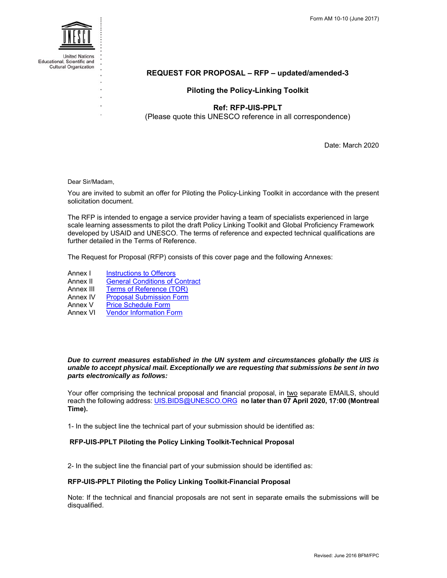

Educational, Scientific and **Cultural Organization** 

# **REQUEST FOR PROPOSAL – RFP – updated/amended-3**

# **Piloting the Policy-Linking Toolkit**

# **Ref: RFP-UIS-PPLT**

(Please quote this UNESCO reference in all correspondence)

Date: March 2020

Dear Sir/Madam,

You are invited to submit an offer for Piloting the Policy-Linking Toolkit in accordance with the present solicitation document.

The RFP is intended to engage a service provider having a team of specialists experienced in large scale learning assessments to pilot the draft Policy Linking Toolkit and Global Proficiency Framework developed by USAID and UNESCO. The terms of reference and expected technical qualifications are further detailed in the Terms of Reference.

The Request for Proposal (RFP) consists of this cover page and the following Annexes:

- Annex I Instructions to Offerors
- Annex II General Conditions of Contract
- Annex III Terms of Reference (TOR)
- Annex IV Proposal Submission Form<br>Annex V Price Schedule Form
- **Price Schedule Form**
- Annex VI Vendor Information Form

## *Due to current measures established in the UN system and circumstances globally the UIS is unable to accept physical mail. Exceptionally we are requesting that submissions be sent in two parts electronically as follows:*

Your offer comprising the technical proposal and financial proposal, in two separate EMAILS, should reach the following address: UIS.BIDS@UNESCO.ORG **no later than 07 April 2020, 17:00 (Montreal Time).**

1- In the subject line the technical part of your submission should be identified as:

## **RFP-UIS-PPLT Piloting the Policy Linking Toolkit-Technical Proposal**

2- In the subject line the financial part of your submission should be identified as:

## **RFP-UIS-PPLT Piloting the Policy Linking Toolkit-Financial Proposal**

Note: If the technical and financial proposals are not sent in separate emails the submissions will be disqualified.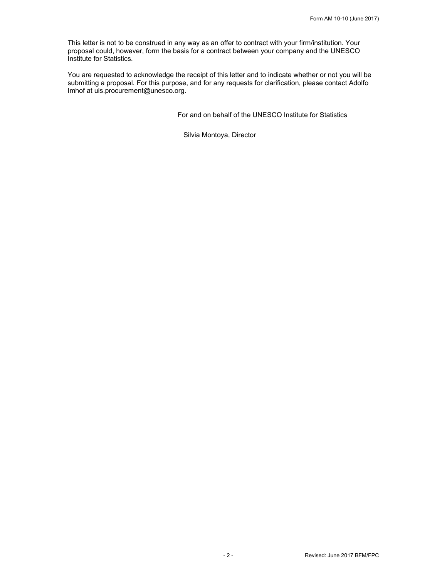This letter is not to be construed in any way as an offer to contract with your firm/institution. Your proposal could, however, form the basis for a contract between your company and the UNESCO Institute for Statistics.

You are requested to acknowledge the receipt of this letter and to indicate whether or not you will be submitting a proposal. For this purpose, and for any requests for clarification, please contact Adolfo Imhof at uis.procurement@unesco.org.

For and on behalf of the UNESCO Institute for Statistics

Silvia Montoya, Director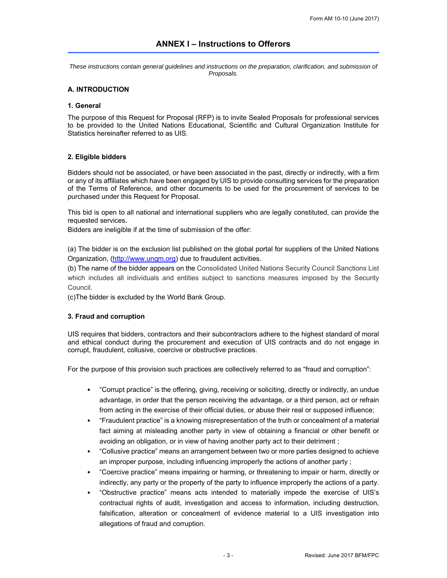*These instructions contain general guidelines and instructions on the preparation, clarification, and submission of Proposals.* 

# **A. INTRODUCTION**

## **1. General**

The purpose of this Request for Proposal (RFP) is to invite Sealed Proposals for professional services to be provided to the United Nations Educational, Scientific and Cultural Organization Institute for Statistics hereinafter referred to as UIS.

## **2. Eligible bidders**

Bidders should not be associated, or have been associated in the past, directly or indirectly, with a firm or any of its affiliates which have been engaged by UIS to provide consulting services for the preparation of the Terms of Reference, and other documents to be used for the procurement of services to be purchased under this Request for Proposal.

This bid is open to all national and international suppliers who are legally constituted, can provide the requested services.

Bidders are ineligible if at the time of submission of the offer:

(a) The bidder is on the exclusion list published on the global portal for suppliers of the United Nations Organization, (http://www.ungm.org) due to fraudulent activities.

(b) The name of the bidder appears on the Consolidated United Nations Security Council Sanctions List which includes all individuals and entities subject to sanctions measures imposed by the Security Council.

(c)The bidder is excluded by the World Bank Group.

## **3. Fraud and corruption**

UIS requires that bidders, contractors and their subcontractors adhere to the highest standard of moral and ethical conduct during the procurement and execution of UIS contracts and do not engage in corrupt, fraudulent, collusive, coercive or obstructive practices.

For the purpose of this provision such practices are collectively referred to as "fraud and corruption":

- "Corrupt practice" is the offering, giving, receiving or soliciting, directly or indirectly, an undue advantage, in order that the person receiving the advantage, or a third person, act or refrain from acting in the exercise of their official duties, or abuse their real or supposed influence;
- "Fraudulent practice" is a knowing misrepresentation of the truth or concealment of a material fact aiming at misleading another party in view of obtaining a financial or other benefit or avoiding an obligation, or in view of having another party act to their detriment ;
- "Collusive practice" means an arrangement between two or more parties designed to achieve an improper purpose, including influencing improperly the actions of another party ;
- "Coercive practice" means impairing or harming, or threatening to impair or harm, directly or indirectly, any party or the property of the party to influence improperly the actions of a party.
- "Obstructive practice" means acts intended to materially impede the exercise of UIS's contractual rights of audit, investigation and access to information, including destruction, falsification, alteration or concealment of evidence material to a UIS investigation into allegations of fraud and corruption.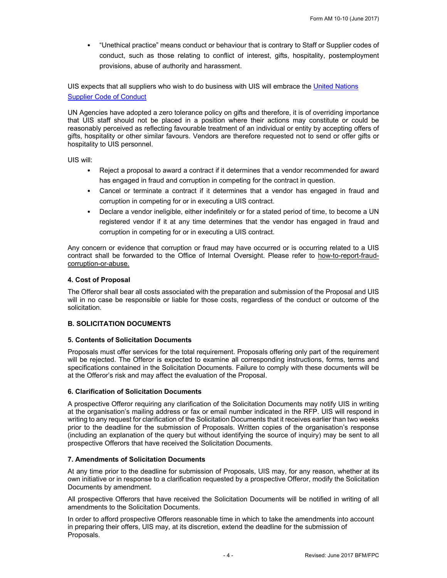• "Unethical practice" means conduct or behaviour that is contrary to Staff or Supplier codes of conduct, such as those relating to conflict of interest, gifts, hospitality, postemployment provisions, abuse of authority and harassment.

UIS expects that all suppliers who wish to do business with UIS will embrace the United Nations Supplier Code of Conduct

UN Agencies have adopted a zero tolerance policy on gifts and therefore, it is of overriding importance that UIS staff should not be placed in a position where their actions may constitute or could be reasonably perceived as reflecting favourable treatment of an individual or entity by accepting offers of gifts, hospitality or other similar favours. Vendors are therefore requested not to send or offer gifts or hospitality to UIS personnel.

UIS will:

- Reject a proposal to award a contract if it determines that a vendor recommended for award has engaged in fraud and corruption in competing for the contract in question.
- Cancel or terminate a contract if it determines that a vendor has engaged in fraud and corruption in competing for or in executing a UIS contract.
- Declare a vendor ineligible, either indefinitely or for a stated period of time, to become a UN registered vendor if it at any time determines that the vendor has engaged in fraud and corruption in competing for or in executing a UIS contract.

Any concern or evidence that corruption or fraud may have occurred or is occurring related to a UIS contract shall be forwarded to the Office of Internal Oversight. Please refer to how-to-report-fraudcorruption-or-abuse.

# **4. Cost of Proposal**

The Offeror shall bear all costs associated with the preparation and submission of the Proposal and UIS will in no case be responsible or liable for those costs, regardless of the conduct or outcome of the solicitation.

# **B. SOLICITATION DOCUMENTS**

# **5. Contents of Solicitation Documents**

Proposals must offer services for the total requirement. Proposals offering only part of the requirement will be rejected. The Offeror is expected to examine all corresponding instructions, forms, terms and specifications contained in the Solicitation Documents. Failure to comply with these documents will be at the Offeror's risk and may affect the evaluation of the Proposal.

# **6. Clarification of Solicitation Documents**

A prospective Offeror requiring any clarification of the Solicitation Documents may notify UIS in writing at the organisation's mailing address or fax or email number indicated in the RFP. UIS will respond in writing to any request for clarification of the Solicitation Documents that it receives earlier than two weeks prior to the deadline for the submission of Proposals. Written copies of the organisation's response (including an explanation of the query but without identifying the source of inquiry) may be sent to all prospective Offerors that have received the Solicitation Documents.

# **7. Amendments of Solicitation Documents**

At any time prior to the deadline for submission of Proposals, UIS may, for any reason, whether at its own initiative or in response to a clarification requested by a prospective Offeror, modify the Solicitation Documents by amendment.

All prospective Offerors that have received the Solicitation Documents will be notified in writing of all amendments to the Solicitation Documents.

In order to afford prospective Offerors reasonable time in which to take the amendments into account in preparing their offers, UIS may, at its discretion, extend the deadline for the submission of Proposals.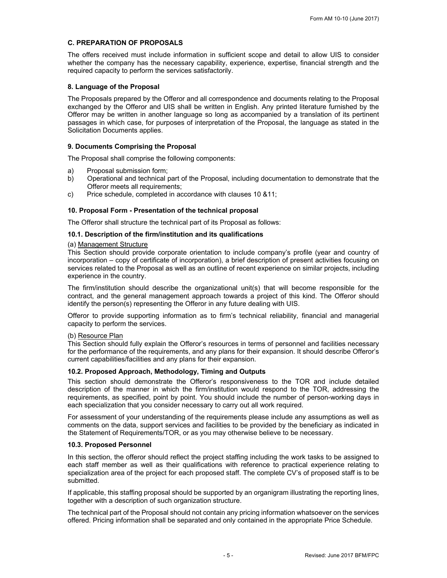# **C. PREPARATION OF PROPOSALS**

The offers received must include information in sufficient scope and detail to allow UIS to consider whether the company has the necessary capability, experience, expertise, financial strength and the required capacity to perform the services satisfactorily.

# **8. Language of the Proposal**

The Proposals prepared by the Offeror and all correspondence and documents relating to the Proposal exchanged by the Offeror and UIS shall be written in English. Any printed literature furnished by the Offeror may be written in another language so long as accompanied by a translation of its pertinent passages in which case, for purposes of interpretation of the Proposal, the language as stated in the Solicitation Documents applies.

# **9. Documents Comprising the Proposal**

The Proposal shall comprise the following components:

- a) Proposal submission form;
- b) Operational and technical part of the Proposal, including documentation to demonstrate that the Offeror meets all requirements;
- c) Price schedule, completed in accordance with clauses 10 &11;

# **10. Proposal Form - Presentation of the technical proposal**

The Offeror shall structure the technical part of its Proposal as follows:

# **10.1. Description of the firm/institution and its qualifications**

## (a) Management Structure

This Section should provide corporate orientation to include company's profile (year and country of incorporation – copy of certificate of incorporation), a brief description of present activities focusing on services related to the Proposal as well as an outline of recent experience on similar projects, including experience in the country.

The firm/institution should describe the organizational unit(s) that will become responsible for the contract, and the general management approach towards a project of this kind. The Offeror should identify the person(s) representing the Offeror in any future dealing with UIS.

Offeror to provide supporting information as to firm's technical reliability, financial and managerial capacity to perform the services.

## (b) Resource Plan

This Section should fully explain the Offeror's resources in terms of personnel and facilities necessary for the performance of the requirements, and any plans for their expansion. It should describe Offeror's current capabilities/facilities and any plans for their expansion.

## **10.2. Proposed Approach, Methodology, Timing and Outputs**

This section should demonstrate the Offeror's responsiveness to the TOR and include detailed description of the manner in which the firm/institution would respond to the TOR, addressing the requirements, as specified, point by point. You should include the number of person-working days in each specialization that you consider necessary to carry out all work required.

For assessment of your understanding of the requirements please include any assumptions as well as comments on the data, support services and facilities to be provided by the beneficiary as indicated in the Statement of Requirements/TOR, or as you may otherwise believe to be necessary.

## **10.3. Proposed Personnel**

In this section, the offeror should reflect the project staffing including the work tasks to be assigned to each staff member as well as their qualifications with reference to practical experience relating to specialization area of the project for each proposed staff. The complete CV's of proposed staff is to be submitted.

If applicable, this staffing proposal should be supported by an organigram illustrating the reporting lines, together with a description of such organization structure.

The technical part of the Proposal should not contain any pricing information whatsoever on the services offered. Pricing information shall be separated and only contained in the appropriate Price Schedule.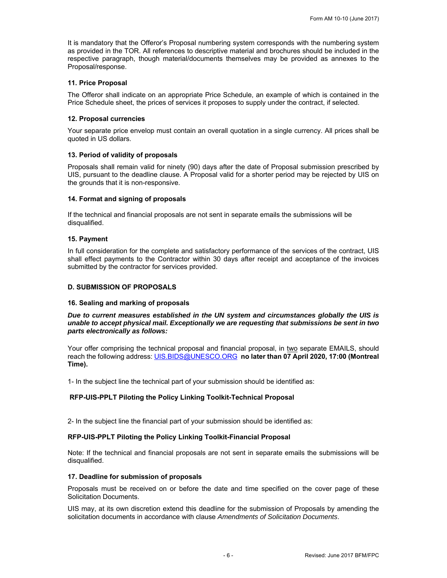It is mandatory that the Offeror's Proposal numbering system corresponds with the numbering system as provided in the TOR. All references to descriptive material and brochures should be included in the respective paragraph, though material/documents themselves may be provided as annexes to the Proposal/response.

## **11. Price Proposal**

The Offeror shall indicate on an appropriate Price Schedule, an example of which is contained in the Price Schedule sheet, the prices of services it proposes to supply under the contract, if selected.

### **12. Proposal currencies**

Your separate price envelop must contain an overall quotation in a single currency. All prices shall be quoted in US dollars.

### **13. Period of validity of proposals**

Proposals shall remain valid for ninety (90) days after the date of Proposal submission prescribed by UIS, pursuant to the deadline clause. A Proposal valid for a shorter period may be rejected by UIS on the grounds that it is non-responsive.

### **14. Format and signing of proposals**

If the technical and financial proposals are not sent in separate emails the submissions will be disqualified.

### **15. Payment**

In full consideration for the complete and satisfactory performance of the services of the contract, UIS shall effect payments to the Contractor within 30 days after receipt and acceptance of the invoices submitted by the contractor for services provided.

### **D. SUBMISSION OF PROPOSALS**

### **16. Sealing and marking of proposals**

*Due to current measures established in the UN system and circumstances globally the UIS is unable to accept physical mail. Exceptionally we are requesting that submissions be sent in two parts electronically as follows:* 

Your offer comprising the technical proposal and financial proposal, in two separate EMAILS, should reach the following address: UIS.BIDS@UNESCO.ORG **no later than 07 April 2020, 17:00 (Montreal Time).**

1- In the subject line the technical part of your submission should be identified as:

## **RFP-UIS-PPLT Piloting the Policy Linking Toolkit-Technical Proposal**

2- In the subject line the financial part of your submission should be identified as:

### **RFP-UIS-PPLT Piloting the Policy Linking Toolkit-Financial Proposal**

Note: If the technical and financial proposals are not sent in separate emails the submissions will be disqualified.

### **17. Deadline for submission of proposals**

Proposals must be received on or before the date and time specified on the cover page of these Solicitation Documents.

UIS may, at its own discretion extend this deadline for the submission of Proposals by amending the solicitation documents in accordance with clause *Amendments of Solicitation Documents*.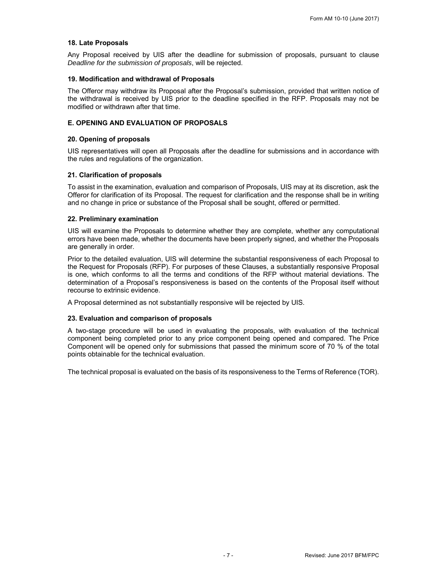## **18. Late Proposals**

Any Proposal received by UIS after the deadline for submission of proposals, pursuant to clause *Deadline for the submission of proposals*, will be rejected.

### **19. Modification and withdrawal of Proposals**

The Offeror may withdraw its Proposal after the Proposal's submission, provided that written notice of the withdrawal is received by UIS prior to the deadline specified in the RFP. Proposals may not be modified or withdrawn after that time.

## **E. OPENING AND EVALUATION OF PROPOSALS**

## **20. Opening of proposals**

UIS representatives will open all Proposals after the deadline for submissions and in accordance with the rules and regulations of the organization.

# **21. Clarification of proposals**

To assist in the examination, evaluation and comparison of Proposals, UIS may at its discretion, ask the Offeror for clarification of its Proposal. The request for clarification and the response shall be in writing and no change in price or substance of the Proposal shall be sought, offered or permitted.

## **22. Preliminary examination**

UIS will examine the Proposals to determine whether they are complete, whether any computational errors have been made, whether the documents have been properly signed, and whether the Proposals are generally in order.

Prior to the detailed evaluation, UIS will determine the substantial responsiveness of each Proposal to the Request for Proposals (RFP). For purposes of these Clauses, a substantially responsive Proposal is one, which conforms to all the terms and conditions of the RFP without material deviations. The determination of a Proposal's responsiveness is based on the contents of the Proposal itself without recourse to extrinsic evidence.

A Proposal determined as not substantially responsive will be rejected by UIS.

## **23. Evaluation and comparison of proposals**

A two-stage procedure will be used in evaluating the proposals, with evaluation of the technical component being completed prior to any price component being opened and compared. The Price Component will be opened only for submissions that passed the minimum score of 70 % of the total points obtainable for the technical evaluation.

The technical proposal is evaluated on the basis of its responsiveness to the Terms of Reference (TOR).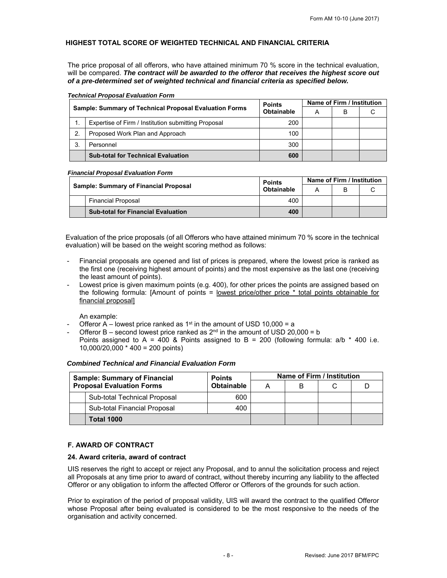# **HIGHEST TOTAL SCORE OF WEIGHTED TECHNICAL AND FINANCIAL CRITERIA**

The price proposal of all offerors, who have attained minimum 70 % score in the technical evaluation, will be compared. *The contract will be awarded to the offeror that receives the highest score out of a pre-determined set of weighted technical and financial criteria as specified below.* 

|                  |                                                               | <b>Points</b> | Name of Firm / Institution |   |  |
|------------------|---------------------------------------------------------------|---------------|----------------------------|---|--|
|                  | <b>Sample: Summary of Technical Proposal Evaluation Forms</b> | Obtainable    | А                          | в |  |
|                  | Expertise of Firm / Institution submitting Proposal           | 200           |                            |   |  |
| $\overline{2}$ . | Proposed Work Plan and Approach                               | 100           |                            |   |  |
| 3.               | Personnel                                                     | 300           |                            |   |  |
|                  | <b>Sub-total for Technical Evaluation</b>                     | 600           |                            |   |  |

### *Technical Proposal Evaluation Form*

### *Financial Proposal Evaluation Form*

|  |                                              | <b>Points</b>     | Name of Firm / Institution |  |  |
|--|----------------------------------------------|-------------------|----------------------------|--|--|
|  | <b>Sample: Summary of Financial Proposal</b> | Obtainable<br>400 |                            |  |  |
|  | <b>Financial Proposal</b>                    |                   |                            |  |  |
|  | <b>Sub-total for Financial Evaluation</b>    | 400               |                            |  |  |

Evaluation of the price proposals (of all Offerors who have attained minimum 70 % score in the technical evaluation) will be based on the weight scoring method as follows:

- Financial proposals are opened and list of prices is prepared, where the lowest price is ranked as the first one (receiving highest amount of points) and the most expensive as the last one (receiving the least amount of points).
- Lowest price is given maximum points (e.g. 400), for other prices the points are assigned based on the following formula: [Amount of points = lowest price/other price \* total points obtainable for financial proposal]

An example:

- Offeror A lowest price ranked as  $1<sup>st</sup>$  in the amount of USD 10,000 = a
- Offeror B second lowest price ranked as  $2<sup>nd</sup>$  in the amount of USD 20,000 = b Points assigned to A = 400 & Points assigned to B = 200 (following formula:  $a/b * 400$  i.e. 10,000/20,000 \* 400 = 200 points)

| <b>Sample: Summary of Financial</b><br><b>Proposal Evaluation Forms</b> |                              | <b>Points</b>     | Name of Firm / Institution |   |  |  |
|-------------------------------------------------------------------------|------------------------------|-------------------|----------------------------|---|--|--|
|                                                                         |                              | <b>Obtainable</b> |                            | B |  |  |
|                                                                         | Sub-total Technical Proposal | 600               |                            |   |  |  |
|                                                                         | Sub-total Financial Proposal | 400               |                            |   |  |  |
|                                                                         | <b>Total 1000</b>            |                   |                            |   |  |  |

## *Combined Technical and Financial Evaluation Form*

## **F. AWARD OF CONTRACT**

# **24. Award criteria, award of contract**

UIS reserves the right to accept or reject any Proposal, and to annul the solicitation process and reject all Proposals at any time prior to award of contract, without thereby incurring any liability to the affected Offeror or any obligation to inform the affected Offeror or Offerors of the grounds for such action.

Prior to expiration of the period of proposal validity, UIS will award the contract to the qualified Offeror whose Proposal after being evaluated is considered to be the most responsive to the needs of the organisation and activity concerned.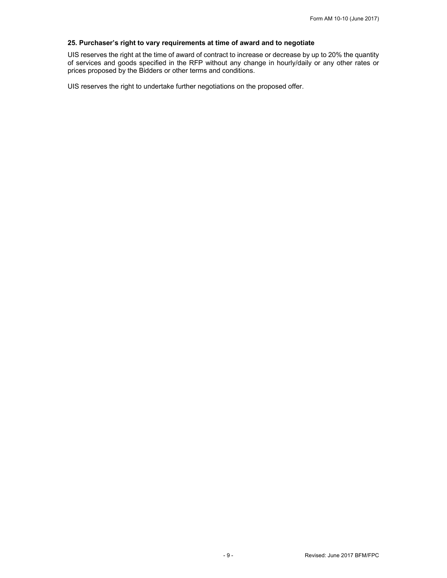# **25. Purchaser's right to vary requirements at time of award and to negotiate**

UIS reserves the right at the time of award of contract to increase or decrease by up to 20% the quantity of services and goods specified in the RFP without any change in hourly/daily or any other rates or prices proposed by the Bidders or other terms and conditions.

UIS reserves the right to undertake further negotiations on the proposed offer.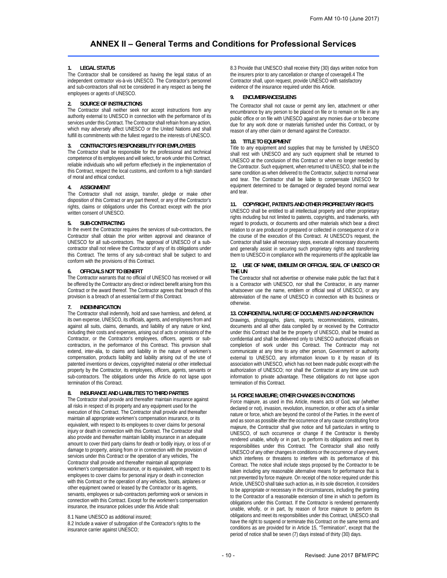# **ANNEX II – General Terms and Conditions for Professional Services**

### **1. LEGAL STATUS**

The Contractor shall be considered as having the legal status of an independent contractor vis-à-vis UNESCO. The Contractor's personnel and sub-contractors shall not be considered in any respect as being the employees or agents of UNESCO.

#### **2. SOURCE OF INSTRUCTIONS**

The Contractor shall neither seek nor accept instructions from any authority external to UNESCO in connection with the performance of its services under this Contract. The Contractor shall refrain from any action, which may adversely affect UNESCO or the United Nations and shall fulfill its commitments with the fullest regard to the interests of UNESCO.

#### **3. CONTRACTOR'S RESPONSIBILITY FOR EMPLOYEES**

The Contractor shall be responsible for the professional and technical competence of its employees and will select, for work under this Contract, reliable individuals who will perform effectively in the implementation of this Contract, respect the local customs, and conform to a high standard of moral and ethical conduct.

#### **4. ASSIGNMENT**

The Contractor shall not assign, transfer, pledge or make other disposition of this Contract or any part thereof, or any of the Contractor's rights, claims or obligations under this Contract except with the prior written consent of UNESCO.

#### **5. SUB-CONTRACTING**

In the event the Contractor requires the services of sub-contractors, the Contractor shall obtain the prior written approval and clearance of UNESCO for all sub-contractors. The approval of UNESCO of a subcontractor shall not relieve the Contractor of any of its obligations under this Contract. The terms of any sub-contract shall be subject to and conform with the provisions of this Contract.

#### **6. OFFICIALS NOT TO BENEFIT**

The Contractor warrants that no official of UNESCO has received or will be offered by the Contractor any direct or indirect benefit arising from this Contract or the award thereof. The Contractor agrees that breach of this provision is a breach of an essential term of this Contract.

#### **7. INDEMNIFICATION**

The Contractor shall indemnify, hold and save harmless, and defend, at its own expense, UNESCO, its officials, agents, and employees from and against all suits, claims, demands, and liability of any nature or kind, including their costs and expenses, arising out of acts or omissions of the Contractor, or the Contractor's employees, officers, agents or subcontractors, in the performance of this Contract. This provision shall extend, inter-alia, to claims and liability in the nature of workmen's compensation, products liability and liability arising out of the use of patented inventions or devices, copyrighted material or other intellectual property by the Contractor, its employees, officers, agents, servants or sub-contractors. The obligations under this Article do not lapse upon termination of this Contract.

#### **8. INSURANCE AND LIABILITIES TO THIRD PARTIES**

The Contractor shall provide and thereafter maintain insurance against all risks in respect of its property and any equipment used for the execution of this Contract. The Contractor shall provide and thereafter maintain all appropriate workmen's compensation insurance, or its equivalent, with respect to its employees to cover claims for personal injury or death in connection with this Contract. The Contractor shall also provide and thereafter maintain liability insurance in an adequate amount to cover third party claims for death or bodily injury, or loss of or damage to property, arising from or in connection with the provision of services under this Contract or the operation of any vehicles, The Contractor shall provide and thereafter maintain all appropriate workmen's compensation insurance, or its equivalent, with respect to its employees to cover claims for personal injury or death in connection with this Contract or the operation of any vehicles, boats, airplanes or other equipment owned or leased by the Contractor or its agents, servants, employees or sub-contractors performing work or services in connection with this Contract. Except for the workmen's compensation insurance, the insurance policies under this Article shall:

8.1 Name UNESCO as additional insured;

8.2 Include a waiver of subrogation of the Contractor's rights to the insurance carrier against UNESCO;

8.3 Provide that UNESCO shall receive thirty (30) days written notice from the insurers prior to any cancellation or change of coverage8.4 The Contractor shall, upon request, provide UNESCO with satisfactory evidence of the insurance required under this Article.

#### **9. ENCUMBRANCES/LIENS**

The Contractor shall not cause or permit any lien, attachment or other encumbrance by any person to be placed on file or to remain on file in any public office or on file with UNESCO against any monies due or to become due for any work done or materials furnished under this Contract, or by reason of any other claim or demand against the Contractor.

### **10. TITLE TO EQUIPMENT**

Title to any equipment and supplies that may be furnished by UNESCO shall rest with UNESCO and any such equipment shall be returned to UNESCO at the conclusion of this Contract or when no longer needed by the Contractor. Such equipment, when returned to UNESCO, shall be in the same condition as when delivered to the Contractor, subject to normal wear and tear. The Contractor shall be liable to compensate UNESCO for equipment determined to be damaged or degraded beyond normal wear and tear.

#### **11. COPYRIGHT, PATENTS AND OTHER PROPRIETARY RIGHTS**

UNESCO shall be entitled to all intellectual property and other proprietary rights including but not limited to patents, copyrights, and trademarks, with regard to products, or documents and other materials which bear a direct relation to or are produced or prepared or collected in consequence of or in the course of the execution of this Contract. At UNESCO's request, the Contractor shall take all necessary steps, execute all necessary documents and generally assist in securing such proprietary rights and transferring them to UNESCO in compliance with the requirements of the applicable law

#### **12. USE OF NAME, EMBLEM OR OFFICIAL SEAL OF UNESCO OR THE UN**

The Contractor shall not advertise or otherwise make public the fact that it is a Contractor with UNESCO, nor shall the Contractor, in any manner whatsoever use the name, emblem or official seal of UNESCO, or any abbreviation of the name of UNESCO in connection with its business or otherwise.

#### **13. CONFIDENTIAL NATURE OF DOCUMENTS AND INFORMATION**

Drawings, photographs, plans, reports, recommendations, estimates, documents and all other data compiled by or received by the Contractor under this Contract shall be the property of UNESCO, shall be treated as confidential and shall be delivered only to UNESCO authorized officials on completion of work under this Contract. The Contractor may not communicate at any time to any other person, Government or authority external to UNESCO, any information known to it by reason of its association with UNESCO, which has not been made public except with the authorization of UNESCO; nor shall the Contractor at any time use such information to private advantage. These obligations do not lapse upon termination of this Contract.

#### **14. FORCE MAJEURE; OTHER CHANGES IN CONDITIONS**

Force majeure, as used in this Article, means acts of God, war (whether declared or not), invasion, revolution, insurrection, or other acts of a similar nature or force, which are beyond the control of the Parties. In the event of and as soon as possible after the occurrence of any cause constituting force majeure, the Contractor shall give notice and full particulars in writing to UNESCO, of such occurrence or change if the Contractor is thereby rendered unable, wholly or in part, to perform its obligations and meet its responsibilities under this Contract. The Contractor shall also notify UNESCO of any other changes in conditions or the occurrence of any event, which interferes or threatens to interfere with its performance of this Contract. The notice shall include steps proposed by the Contractor to be taken including any reasonable alternative means for performance that is not prevented by force majeure. On receipt of the notice required under this Article, UNESCO shall take such action as, in its sole discretion, it considers to be appropriate or necessary in the circumstances, including the granting to the Contractor of a reasonable extension of time in which to perform its obligations under this Contract. If the Contractor is rendered permanently unable, wholly, or in part, by reason of force majeure to perform its obligations and meet its responsibilities under this Contract, UNESCO shall have the right to suspend or terminate this Contract on the same terms and conditions as are provided for in Article 15, "Termination", except that the period of notice shall be seven (7) days instead of thirty (30) days.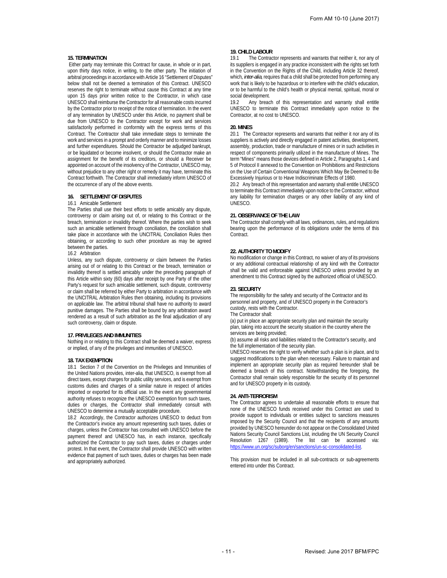#### **15. TERMINATION**

 Either party may terminate this Contract for cause, in whole or in part, upon thirty days notice, in writing, to the other party. The initiation of arbitral proceedings in accordance with Article 16 "Settlement of Disputes" below shall not be deemed a termination of this Contract. UNESCO reserves the right to terminate without cause this Contract at any time upon 15 days prior written notice to the Contractor, in which case UNESCO shall reimburse the Contractor for all reasonable costs incurred by the Contractor prior to receipt of the notice of termination. In the event of any termination by UNESCO under this Article, no payment shall be due from UNESCO to the Contractor except for work and services satisfactorily performed in conformity with the express terms of this Contract. The Contractor shall take immediate steps to terminate the work and services in a prompt and orderly manner and to minimize losses and further expenditures. Should the Contractor be adjudged bankrupt, or be liquidated or become insolvent, or should the Contractor make an assignment for the benefit of its creditors, or should a Receiver be appointed on account of the insolvency of the Contractor, UNESCO may, without prejudice to any other right or remedy it may have, terminate this Contract forthwith. The Contractor shall immediately inform UNESCO of the occurrence of any of the above events.

#### **16. SETTLEMENT OF DISPUTES**

#### 16.1 Amicable Settlement

The Parties shall use their best efforts to settle amicably any dispute, controversy or claim arising out of, or relating to this Contract or the breach, termination or invalidity thereof. Where the parties wish to seek such an amicable settlement through conciliation, the conciliation shall take place in accordance with the UNCITRAL Conciliation Rules then obtaining, or according to such other procedure as may be agreed between the parties.

16.2 Arbitration

Unless, any such dispute, controversy or claim between the Parties arising out of or relating to this Contract or the breach, termination or invalidity thereof is settled amicably under the preceding paragraph of this Article within sixty (60) days after receipt by one Party of the other Party's request for such amicable settlement, such dispute, controversy or claim shall be referred by either Party to arbitration in accordance with the UNCITRAL Arbitration Rules then obtaining, including its provisions on applicable law. The arbitral tribunal shall have no authority to award punitive damages. The Parties shall be bound by any arbitration award rendered as a result of such arbitration as the final adjudication of any such controversy, claim or dispute.

#### **17. PRIVILEGES AND IMMUNITIES**

Nothing in or relating to this Contract shall be deemed a waiver, express or implied, of any of the privileges and immunities of UNESCO.

#### **18. TAX EXEMPTION**

18.1 Section 7 of the Convention on the Privileges and Immunities of the United Nations provides, inter-alia, that UNESCO, is exempt from all direct taxes, except charges for public utility services, and is exempt from customs duties and charges of a similar nature in respect of articles imported or exported for its official use. In the event any governmental authority refuses to recognize the UNESCO exemption from such taxes, duties or charges, the Contractor shall immediately consult with UNESCO to determine a mutually acceptable procedure.

18.2 Accordingly, the Contractor authorizes UNESCO to deduct from the Contractor's invoice any amount representing such taxes, duties or charges, unless the Contractor has consulted with UNESCO before the payment thereof and UNESCO has, in each instance, specifically authorized the Contractor to pay such taxes, duties or charges under protest. In that event, the Contractor shall provide UNESCO with written evidence that payment of such taxes, duties or charges has been made and appropriately authorized.

#### **19. CHILD LABOUR**

19.1 The Contractor represents and warrants that neither it, nor any of its suppliers is engaged in any practice inconsistent with the rights set forth in the Convention on the Rights of the Child, including Article 32 thereof, which*, inter-alia*, requires that a child shall be protected from performing any work that is likely to be hazardous or to interfere with the child's education, or to be harmful to the child's health or physical mental, spiritual, moral or social development.

19.2 Any breach of this representation and warranty shall entitle UNESCO to terminate this Contract immediately upon notice to the Contractor, at no cost to UNESCO.

#### **20. MINES**

20.1 The Contractor represents and warrants that neither it nor any of its suppliers is actively and directly engaged in patent activities, development, assembly, production, trade or manufacture of mines or in such activities in respect of components primarily utilized in the manufacture of Mines. The term "Mines" means those devices defined in Article 2, Paragraphs 1, 4 and 5 of Protocol II annexed to the Convention on Prohibitions and Restrictions on the Use of Certain Conventional Weapons Which May Be Deemed to Be Excessively Injurious or to Have Indiscriminate Effects of 1980.

20.2 Any breach of this representation and warranty shall entitle UNESCO to terminate this Contract immediately upon notice to the Contractor, without any liability for termination charges or any other liability of any kind of UNESCO.

#### **21. OBSERVANCE OF THE LAW**

The Contractor shall comply with all laws, ordinances, rules, and regulations bearing upon the performance of its obligations under the terms of this Contract.

#### **22. AUTHORITY TO MODIFY**

No modification or change in this Contract, no waiver of any of its provisions or any additional contractual relationship of any kind with the Contractor shall be valid and enforceable against UNESCO unless provided by an amendment to this Contract signed by the authorized official of UNESCO.

#### **23. SECURITY**

The responsibility for the safety and security of the Contractor and its personnel and property, and of UNESCO property in the Contractor's custody, rests with the Contractor.

The Contractor shall:

(a) put in place an appropriate security plan and maintain the security plan, taking into account the security situation in the country where the services are being provided;

(b) assume all risks and liabilities related to the Contractor's security, and the full implementation of the security plan.

UNESCO reserves the right to verify whether such a plan is in place, and to suggest modifications to the plan when necessary. Failure to maintain and implement an appropriate security plan as required hereunder shall be deemed a breach of this contract. Notwithstanding the foregoing, the Contractor shall remain solely responsible for the security of its personnel and for UNESCO property in its custody.

#### **24. ANTI-TERRORISM**

The Contractor agrees to undertake all reasonable efforts to ensure that none of the UNESCO funds received under this Contract are used to provide support to individuals or entities subject to sanctions measures imposed by the Security Council and that the recipients of any amounts provided by UNESCO hereunder do not appear on the Consolidated United Nations Security Council Sanctions List, including the UN Security Council Resolution 1267 (1989). The list can be accessed via: https://www.un.org/sc/suborg/en/sanctions/un-sc-consolidated-list.

This provision must be included in all sub-contracts or sub-agreements entered into under this Contract.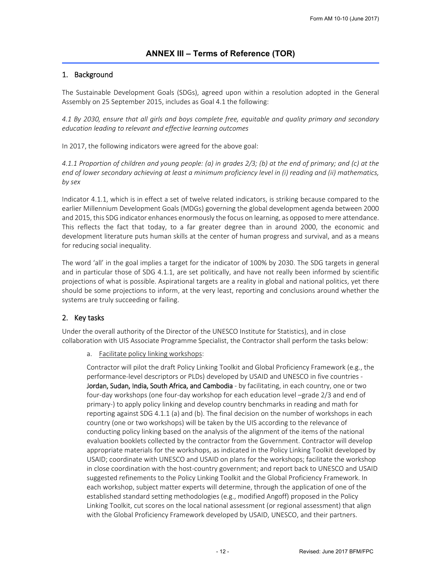# 1. Background

The Sustainable Development Goals (SDGs), agreed upon within a resolution adopted in the General Assembly on 25 September 2015, includes as Goal 4.1 the following:

*4.1 By 2030, ensure that all girls and boys complete free, equitable and quality primary and secondary education leading to relevant and effective learning outcomes* 

In 2017, the following indicators were agreed for the above goal:

*4.1.1 Proportion of children and young people: (a) in grades 2/3; (b) at the end of primary; and (c) at the end of lower secondary achieving at least a minimum proficiency level in (i) reading and (ii) mathematics, by sex* 

Indicator 4.1.1, which is in effect a set of twelve related indicators, is striking because compared to the earlier Millennium Development Goals (MDGs) governing the global development agenda between 2000 and 2015, this SDG indicator enhances enormously the focus on learning, as opposed to mere attendance. This reflects the fact that today, to a far greater degree than in around 2000, the economic and development literature puts human skills at the center of human progress and survival, and as a means for reducing social inequality.

The word 'all' in the goal implies a target for the indicator of 100% by 2030. The SDG targets in general and in particular those of SDG 4.1.1, are set politically, and have not really been informed by scientific projections of what is possible. Aspirational targets are a reality in global and national politics, yet there should be some projections to inform, at the very least, reporting and conclusions around whether the systems are truly succeeding or failing.

# 2. Key tasks

Under the overall authority of the Director of the UNESCO Institute for Statistics), and in close collaboration with UIS Associate Programme Specialist, the Contractor shall perform the tasks below:

a. Facilitate policy linking workshops:

Contractor will pilot the draft Policy Linking Toolkit and Global Proficiency Framework (e.g., the performance‐level descriptors or PLDs) developed by USAID and UNESCO in five countries ‐ Jordan, Sudan, India, South Africa, and Cambodia - by facilitating, in each country, one or two four‐day workshops (one four‐day workshop for each education level –grade 2/3 and end of primary‐) to apply policy linking and develop country benchmarks in reading and math for reporting against SDG 4.1.1 (a) and (b). The final decision on the number of workshops in each country (one or two workshops) will be taken by the UIS according to the relevance of conducting policy linking based on the analysis of the alignment of the items of the national evaluation booklets collected by the contractor from the Government. Contractor will develop appropriate materials for the workshops, as indicated in the Policy Linking Toolkit developed by USAID; coordinate with UNESCO and USAID on plans for the workshops; facilitate the workshop in close coordination with the host-country government; and report back to UNESCO and USAID suggested refinements to the Policy Linking Toolkit and the Global Proficiency Framework. In each workshop, subject matter experts will determine, through the application of one of the established standard setting methodologies (e.g., modified Angoff) proposed in the Policy Linking Toolkit, cut scores on the local national assessment (or regional assessment) that align with the Global Proficiency Framework developed by USAID, UNESCO, and their partners.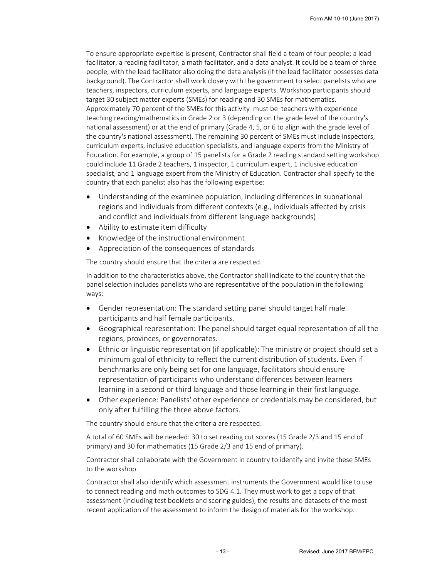To ensure appropriate expertise is present, Contractor shall field a team of four people; a lead facilitator, a reading facilitator, a math facilitator, and a data analyst. It could be a team of three people, with the lead facilitator also doing the data analysis (if the lead facilitator possesses data background). The Contractor shall work closely with the government to select panelists who are teachers, inspectors, curriculum experts, and language experts. Workshop participants should target 30 subject matter experts (SMEs) for reading and 30 SMEs for mathematics. Approximately 70 percent of the SMEs for this activity must be teachers with experience teaching reading/mathematics in Grade 2 or 3 (depending on the grade level of the country's national assessment) or at the end of primary (Grade 4, 5, or 6 to align with the grade level of the country's national assessment). The remaining 30 percent of SMEs must include inspectors, curriculum experts, inclusive education specialists, and language experts from the Ministry of Education. For example, a group of 15 panelists for a Grade 2 reading standard setting workshop could include 11 Grade 2 teachers, 1 inspector, 1 curriculum expert, 1 inclusive education specialist, and 1 language expert from the Ministry of Education. Contractor shall specify to the country that each panelist also has the following expertise:

- Understanding of the examinee population, including differences in subnational regions and individuals from different contexts (e.g., individuals affected by crisis and conflict and individuals from different language backgrounds)
- Ability to estimate item difficulty
- Knowledge of the instructional environment
- Appreciation of the consequences of standards

The country should ensure that the criteria are respected.

In addition to the characteristics above, the Contractor shall indicate to the country that the panel selection includes panelists who are representative of the population in the following ways:

- Gender representation: The standard setting panel should target half male participants and half female participants.
- Geographical representation: The panel should target equal representation of all the regions, provinces, or governorates.
- Ethnic or linguistic representation (if applicable): The ministry or project should set a minimum goal of ethnicity to reflect the current distribution of students. Even if benchmarks are only being set for one language, facilitators should ensure representation of participants who understand differences between learners learning in a second or third language and those learning in their first language.
- Other experience: Panelists' other experience or credentials may be considered, but only after fulfilling the three above factors.

The country should ensure that the criteria are respected.

A total of 60 SMEs will be needed: 30 to set reading cut scores (15 Grade 2/3 and 15 end of primary) and 30 for mathematics (15 Grade 2/3 and 15 end of primary).

Contractor shall collaborate with the Government in country to identify and invite these SMEs to the workshop.

Contractor shall also identify which assessment instruments the Government would like to use to connect reading and math outcomes to SDG 4.1. They must work to get a copy of that assessment (including test booklets and scoring guides), the results and datasets of the most recent application of the assessment to inform the design of materials for the workshop.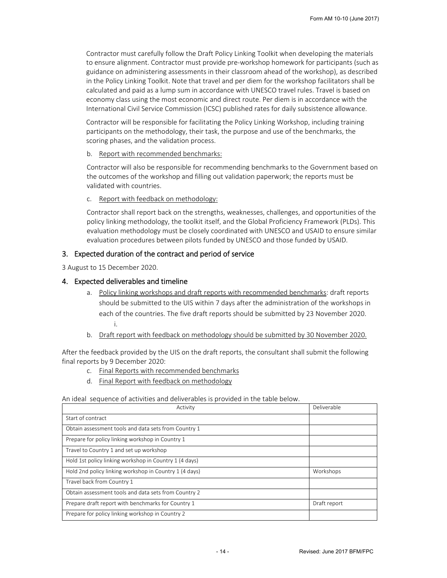Contractor must carefully follow the Draft Policy Linking Toolkit when developing the materials to ensure alignment. Contractor must provide pre‐workshop homework for participants (such as guidance on administering assessments in their classroom ahead of the workshop), as described in the Policy Linking Toolkit. Note that travel and per diem for the workshop facilitators shall be calculated and paid as a lump sum in accordance with UNESCO travel rules. Travel is based on economy class using the most economic and direct route. Per diem is in accordance with the International Civil Service Commission (ICSC) published rates for daily subsistence allowance.

Contractor will be responsible for facilitating the Policy Linking Workshop, including training participants on the methodology, their task, the purpose and use of the benchmarks, the scoring phases, and the validation process.

# b. Report with recommended benchmarks:

Contractor will also be responsible for recommending benchmarks to the Government based on the outcomes of the workshop and filling out validation paperwork; the reports must be validated with countries.

# c. Report with feedback on methodology:

Contractor shall report back on the strengths, weaknesses, challenges, and opportunities of the policy linking methodology, the toolkit itself, and the Global Proficiency Framework (PLDs). This evaluation methodology must be closely coordinated with UNESCO and USAID to ensure similar evaluation procedures between pilots funded by UNESCO and those funded by USAID.

# 3. Expected duration of the contract and period of service

3 August to 15 December 2020.

# 4. Expected deliverables and timeline

- a. Policy linking workshops and draft reports with recommended benchmarks: draft reports should be submitted to the UIS within 7 days after the administration of the workshops in each of the countries. The five draft reports should be submitted by 23 November 2020. i.
- b. Draft report with feedback on methodology should be submitted by 30 November 2020.

After the feedback provided by the UIS on the draft reports, the consultant shall submit the following final reports by 9 December 2020:

- c. Final Reports with recommended benchmarks
- d. Final Report with feedback on methodology

# An ideal sequence of activities and deliverables is provided in the table below.

| Activity                                               | Deliverable  |
|--------------------------------------------------------|--------------|
| Start of contract                                      |              |
| Obtain assessment tools and data sets from Country 1   |              |
| Prepare for policy linking workshop in Country 1       |              |
| Travel to Country 1 and set up workshop                |              |
| Hold 1st policy linking workshop in Country 1 (4 days) |              |
| Hold 2nd policy linking workshop in Country 1 (4 days) | Workshops    |
| Travel back from Country 1                             |              |
| Obtain assessment tools and data sets from Country 2   |              |
| Prepare draft report with benchmarks for Country 1     | Draft report |
| Prepare for policy linking workshop in Country 2       |              |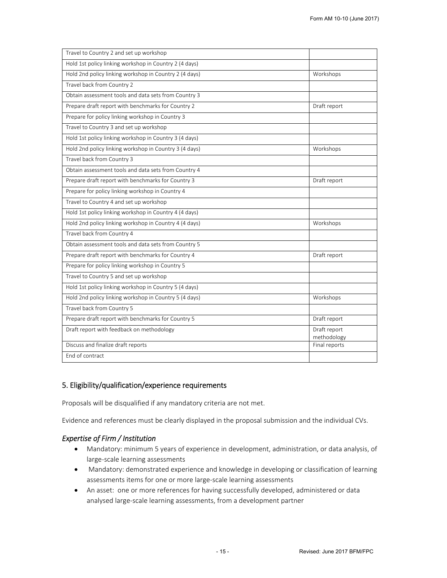| Travel to Country 2 and set up workshop                |                             |
|--------------------------------------------------------|-----------------------------|
| Hold 1st policy linking workshop in Country 2 (4 days) |                             |
| Hold 2nd policy linking workshop in Country 2 (4 days) | Workshops                   |
| Travel back from Country 2                             |                             |
| Obtain assessment tools and data sets from Country 3   |                             |
| Prepare draft report with benchmarks for Country 2     | Draft report                |
| Prepare for policy linking workshop in Country 3       |                             |
| Travel to Country 3 and set up workshop                |                             |
| Hold 1st policy linking workshop in Country 3 (4 days) |                             |
| Hold 2nd policy linking workshop in Country 3 (4 days) | Workshops                   |
| Travel back from Country 3                             |                             |
| Obtain assessment tools and data sets from Country 4   |                             |
| Prepare draft report with benchmarks for Country 3     | Draft report                |
| Prepare for policy linking workshop in Country 4       |                             |
| Travel to Country 4 and set up workshop                |                             |
| Hold 1st policy linking workshop in Country 4 (4 days) |                             |
| Hold 2nd policy linking workshop in Country 4 (4 days) | Workshops                   |
| Travel back from Country 4                             |                             |
| Obtain assessment tools and data sets from Country 5   |                             |
| Prepare draft report with benchmarks for Country 4     | Draft report                |
| Prepare for policy linking workshop in Country 5       |                             |
| Travel to Country 5 and set up workshop                |                             |
| Hold 1st policy linking workshop in Country 5 (4 days) |                             |
| Hold 2nd policy linking workshop in Country 5 (4 days) | Workshops                   |
| Travel back from Country 5                             |                             |
| Prepare draft report with benchmarks for Country 5     | Draft report                |
| Draft report with feedback on methodology              | Draft report<br>methodology |
| Discuss and finalize draft reports                     | Final reports               |
| End of contract                                        |                             |

# 5. Eligibility/qualification/experience requirements

Proposals will be disqualified if any mandatory criteria are not met.

Evidence and references must be clearly displayed in the proposal submission and the individual CVs.

# *Expertise of Firm / Institution*

- Mandatory: minimum 5 years of experience in development, administration, or data analysis, of large‐scale learning assessments
- Mandatory: demonstrated experience and knowledge in developing or classification of learning assessments items for one or more large‐scale learning assessments
- An asset: one or more references for having successfully developed, administered or data analysed large‐scale learning assessments, from a development partner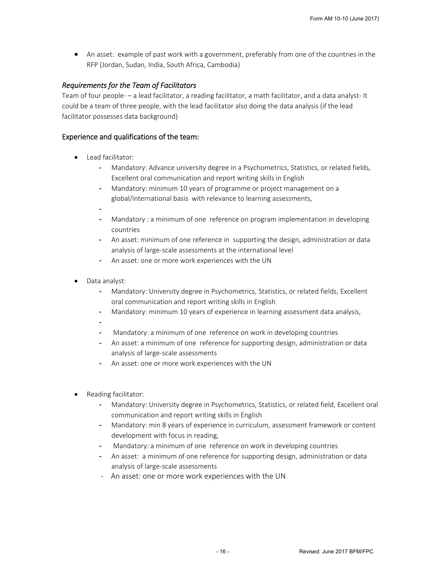An asset: example of past work with a government, preferably from one of the countries in the RFP (Jordan, Sudan, India, South Africa, Cambodia)

# *Requirements for the Team of Facilitators*

Team of four people- – a lead facilitator, a reading facilitator, a math facilitator, and a data analyst-It could be a team of three people, with the lead facilitator also doing the data analysis (if the lead facilitator possesses data background)

# Experience and qualifications of the team:

- Lead facilitator:
	- Mandatory: Advance university degree in a Psychometrics, Statistics, or related fields, Excellent oral communication and report writing skills in English
	- Mandatory: minimum 10 years of programme or project management on a global/international basis with relevance to learning assessments,
	- -
	- Mandatory : a minimum of one reference on program implementation in developing countries
	- An asset: minimum of one reference in supporting the design, administration or data analysis of large‐scale assessments at the international level
	- An asset: one or more work experiences with the UN
- Data analyst:
	- Mandatory: University degree in Psychometrics, Statistics, or related fields, Excellent oral communication and report writing skills in English
	- Mandatory: minimum 10 years of experience in learning assessment data analysis,
	- -
	- Mandatory: a minimum of one reference on work in developing countries
		- An asset: a minimum of one reference for supporting design, administration or data analysis of large‐scale assessments
		- An asset: one or more work experiences with the UN
- Reading facilitator:
	- Mandatory: University degree in Psychometrics, Statistics, or related field, Excellent oral communication and report writing skills in English
	- Mandatory: min 8 years of experience in curriculum, assessment framework or content development with focus in reading,
	- Mandatory: a minimum of one reference on work in developing countries
	- An asset: a minimum of one reference for supporting design, administration or data analysis of large‐scale assessments
	- An asset: one or more work experiences with the UN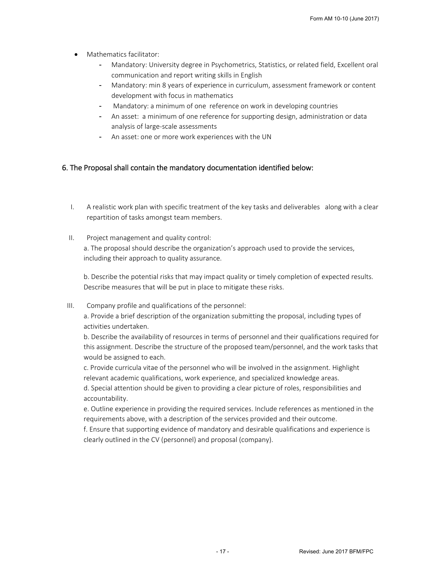- Mathematics facilitator:
	- Mandatory: University degree in Psychometrics, Statistics, or related field, Excellent oral communication and report writing skills in English
	- Mandatory: min 8 years of experience in curriculum, assessment framework or content development with focus in mathematics
	- Mandatory: a minimum of one reference on work in developing countries
	- An asset: a minimum of one reference for supporting design, administration or data analysis of large‐scale assessments
	- An asset: one or more work experiences with the UN

# 6. The Proposal shall contain the mandatory documentation identified below:

- I. A realistic work plan with specific treatment of the key tasks and deliverables along with a clear repartition of tasks amongst team members.
- II. Project management and quality control: a. The proposal should describe the organization's approach used to provide the services, including their approach to quality assurance.

b. Describe the potential risks that may impact quality or timely completion of expected results. Describe measures that will be put in place to mitigate these risks.

III. Company profile and qualifications of the personnel:

a. Provide a brief description of the organization submitting the proposal, including types of activities undertaken.

b. Describe the availability of resources in terms of personnel and their qualifications required for this assignment. Describe the structure of the proposed team/personnel, and the work tasks that would be assigned to each.

c. Provide curricula vitae of the personnel who will be involved in the assignment. Highlight relevant academic qualifications, work experience, and specialized knowledge areas.

d. Special attention should be given to providing a clear picture of roles, responsibilities and accountability.

e. Outline experience in providing the required services. Include references as mentioned in the requirements above, with a description of the services provided and their outcome.

f. Ensure that supporting evidence of mandatory and desirable qualifications and experience is clearly outlined in the CV (personnel) and proposal (company).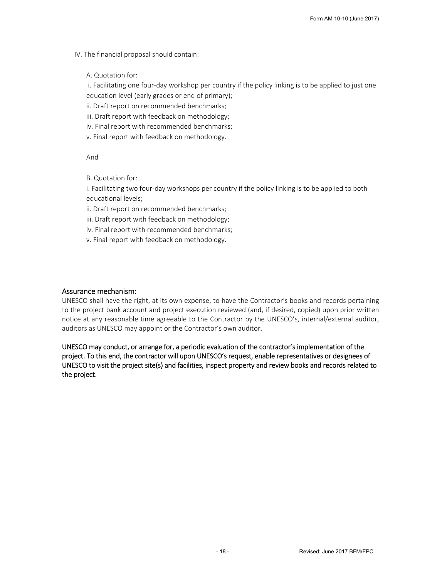IV. The financial proposal should contain:

A. Quotation for:

 i. Facilitating one four‐day workshop per country if the policy linking is to be applied to just one education level (early grades or end of primary);

- ii. Draft report on recommended benchmarks;
- iii. Draft report with feedback on methodology;
- iv. Final report with recommended benchmarks;
- v. Final report with feedback on methodology.

And

B. Quotation for:

i. Facilitating two four‐day workshops per country if the policy linking is to be applied to both educational levels;

ii. Draft report on recommended benchmarks;

iii. Draft report with feedback on methodology;

iv. Final report with recommended benchmarks;

v. Final report with feedback on methodology.

# Assurance mechanism:

UNESCO shall have the right, at its own expense, to have the Contractor's books and records pertaining to the project bank account and project execution reviewed (and, if desired, copied) upon prior written notice at any reasonable time agreeable to the Contractor by the UNESCO's, internal/external auditor, auditors as UNESCO may appoint or the Contractor's own auditor.

UNESCO may conduct, or arrange for, a periodic evaluation of the contractor's implementation of the project. To this end, the contractor will upon UNESCO's request, enable representatives or designees of UNESCO to visit the project site(s) and facilities, inspect property and review books and records related to the project.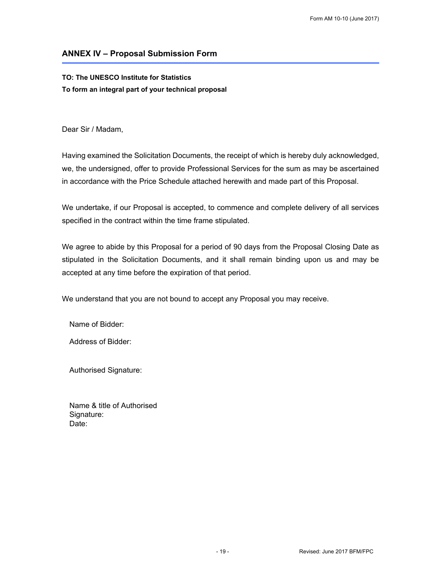# **ANNEX IV – Proposal Submission Form**

# **TO: The UNESCO Institute for Statistics To form an integral part of your technical proposal**

Dear Sir / Madam,

Having examined the Solicitation Documents, the receipt of which is hereby duly acknowledged, we, the undersigned, offer to provide Professional Services for the sum as may be ascertained in accordance with the Price Schedule attached herewith and made part of this Proposal.

We undertake, if our Proposal is accepted, to commence and complete delivery of all services specified in the contract within the time frame stipulated.

We agree to abide by this Proposal for a period of 90 days from the Proposal Closing Date as stipulated in the Solicitation Documents, and it shall remain binding upon us and may be accepted at any time before the expiration of that period.

We understand that you are not bound to accept any Proposal you may receive.

Name of Bidder:

Address of Bidder:

Authorised Signature:

Name & title of Authorised Signature: Date: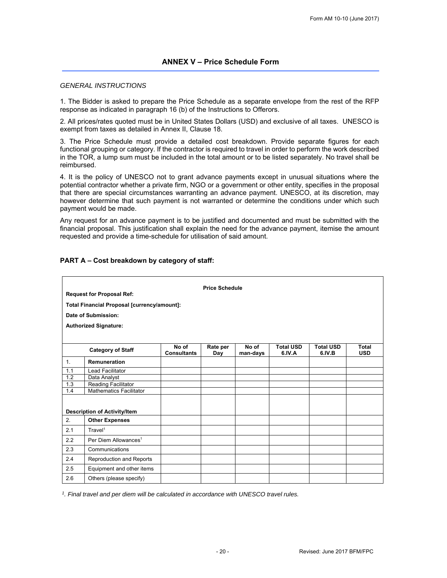# *GENERAL INSTRUCTIONS*

1. The Bidder is asked to prepare the Price Schedule as a separate envelope from the rest of the RFP response as indicated in paragraph 16 (b) of the Instructions to Offerors.

2. All prices/rates quoted must be in United States Dollars (USD) and exclusive of all taxes. UNESCO is exempt from taxes as detailed in Annex II, Clause 18.

3. The Price Schedule must provide a detailed cost breakdown. Provide separate figures for each functional grouping or category. If the contractor is required to travel in order to perform the work described in the TOR, a lump sum must be included in the total amount or to be listed separately. No travel shall be reimbursed.

4. It is the policy of UNESCO not to grant advance payments except in unusual situations where the potential contractor whether a private firm, NGO or a government or other entity, specifies in the proposal that there are special circumstances warranting an advance payment. UNESCO, at its discretion, may however determine that such payment is not warranted or determine the conditions under which such payment would be made.

Any request for an advance payment is to be justified and documented and must be submitted with the financial proposal. This justification shall explain the need for the advance payment, itemise the amount requested and provide a time-schedule for utilisation of said amount.

# **PART A – Cost breakdown by category of staff:**

| <b>Price Schedule</b><br><b>Request for Proposal Ref:</b><br>Total Financial Proposal [currency/amount]: |                                     |                             |                 |                   |                            |                            |                            |  |  |
|----------------------------------------------------------------------------------------------------------|-------------------------------------|-----------------------------|-----------------|-------------------|----------------------------|----------------------------|----------------------------|--|--|
|                                                                                                          | Date of Submission:                 |                             |                 |                   |                            |                            |                            |  |  |
|                                                                                                          |                                     |                             |                 |                   |                            |                            |                            |  |  |
|                                                                                                          | <b>Authorized Signature:</b>        |                             |                 |                   |                            |                            |                            |  |  |
|                                                                                                          |                                     |                             |                 |                   |                            |                            |                            |  |  |
|                                                                                                          | <b>Category of Staff</b>            | No of<br><b>Consultants</b> | Rate per<br>Day | No of<br>man-days | <b>Total USD</b><br>6.IV.A | <b>Total USD</b><br>6.IV.B | <b>Total</b><br><b>USD</b> |  |  |
| 1 <sub>1</sub>                                                                                           | Remuneration                        |                             |                 |                   |                            |                            |                            |  |  |
| 1.1                                                                                                      | <b>Lead Facilitator</b>             |                             |                 |                   |                            |                            |                            |  |  |
| 1.2                                                                                                      | Data Analyst                        |                             |                 |                   |                            |                            |                            |  |  |
| 1.3                                                                                                      | Reading Facilitator                 |                             |                 |                   |                            |                            |                            |  |  |
| 1.4                                                                                                      | <b>Mathematics Facilitator</b>      |                             |                 |                   |                            |                            |                            |  |  |
|                                                                                                          |                                     |                             |                 |                   |                            |                            |                            |  |  |
|                                                                                                          | <b>Description of Activity/Item</b> |                             |                 |                   |                            |                            |                            |  |  |
| 2.                                                                                                       | <b>Other Expenses</b>               |                             |                 |                   |                            |                            |                            |  |  |
| 2.1                                                                                                      | Travel <sup>1</sup>                 |                             |                 |                   |                            |                            |                            |  |  |
| 2.2                                                                                                      | Per Diem Allowances <sup>1</sup>    |                             |                 |                   |                            |                            |                            |  |  |
| 2.3                                                                                                      | Communications                      |                             |                 |                   |                            |                            |                            |  |  |
| 2.4                                                                                                      | Reproduction and Reports            |                             |                 |                   |                            |                            |                            |  |  |
| 2.5                                                                                                      | Equipment and other items           |                             |                 |                   |                            |                            |                            |  |  |
| 2.6                                                                                                      | Others (please specify)             |                             |                 |                   |                            |                            |                            |  |  |

*1. Final travel and per diem will be calculated in accordance with UNESCO travel rules.*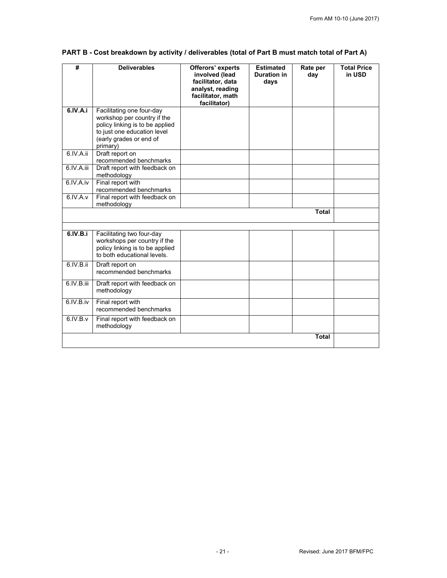| #          | <b>Deliverables</b>                                                                                                                                               | Offerors' experts<br>involved (lead<br>facilitator, data<br>analyst, reading | <b>Estimated</b><br><b>Duration in</b><br>days | Rate per<br>day | <b>Total Price</b><br>in USD |
|------------|-------------------------------------------------------------------------------------------------------------------------------------------------------------------|------------------------------------------------------------------------------|------------------------------------------------|-----------------|------------------------------|
|            |                                                                                                                                                                   | facilitator, math<br>facilitator)                                            |                                                |                 |                              |
| 6.IV.A.i   | Facilitating one four-day<br>workshop per country if the<br>policy linking is to be applied<br>to just one education level<br>(early grades or end of<br>primary) |                                                                              |                                                |                 |                              |
| 6.IV.A.ii  | Draft report on<br>recommended benchmarks                                                                                                                         |                                                                              |                                                |                 |                              |
| 6.IV.A.iii | Draft report with feedback on<br>methodology                                                                                                                      |                                                                              |                                                |                 |                              |
| 6.IV.A.iv  | Final report with<br>recommended benchmarks                                                                                                                       |                                                                              |                                                |                 |                              |
| 6.IV.A.v   | Final report with feedback on<br>methodology                                                                                                                      |                                                                              |                                                |                 |                              |
|            |                                                                                                                                                                   |                                                                              |                                                | <b>Total</b>    |                              |
|            |                                                                                                                                                                   |                                                                              |                                                |                 |                              |
| 6.IV.B.i   | Facilitating two four-day<br>workshops per country if the<br>policy linking is to be applied<br>to both educational levels.                                       |                                                                              |                                                |                 |                              |
| 6.IV.B.ii  | Draft report on<br>recommended benchmarks                                                                                                                         |                                                                              |                                                |                 |                              |
| 6.IV.B.iii | Draft report with feedback on<br>methodology                                                                                                                      |                                                                              |                                                |                 |                              |
| 6.IV.B.iv  | Final report with<br>recommended benchmarks                                                                                                                       |                                                                              |                                                |                 |                              |
| 6.IV.B.v   | Final report with feedback on<br>methodology                                                                                                                      |                                                                              |                                                |                 |                              |
|            |                                                                                                                                                                   |                                                                              |                                                | <b>Total</b>    |                              |

# **PART B - Cost breakdown by activity / deliverables (total of Part B must match total of Part A)**